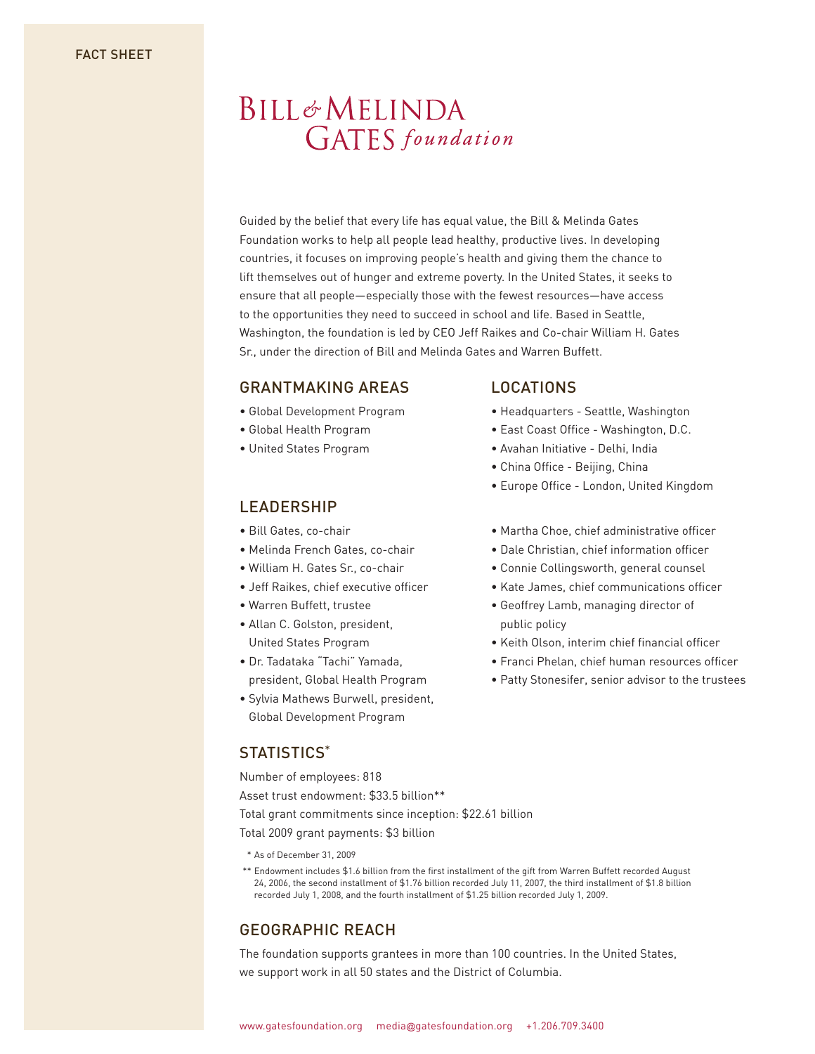# **BILL&MELINDA GATES** foundation

Guided by the belief that every life has equal value, the Bill & Melinda Gates Foundation works to help all people lead healthy, productive lives. In developing countries, it focuses on improving people's health and giving them the chance to lift themselves out of hunger and extreme poverty. In the United States, it seeks to ensure that all people—especially those with the fewest resources—have access to the opportunities they need to succeed in school and life. Based in Seattle, Washington, the foundation is led by CEO Jeff Raikes and Co-chair William H. Gates Sr., under the direction of Bill and Melinda Gates and Warren Buffett.

### GRANTMAKING AREAS

- Global Development Program
- Global Health Program
- United States Program

### LEADERSHIP

- Bill Gates, co-chair
- Melinda French Gates, co-chair
- William H. Gates Sr., co-chair
- Jeff Raikes, chief executive officer
- Warren Buffett, trustee
- Allan C. Golston, president, United States Program
- Dr. Tadataka "Tachi" Yamada, president, Global Health Program
- Sylvia Mathews Burwell, president, Global Development Program

## STATISTICS\*

Number of employees: 818

Asset trust endowment: \$33.5 billion\*\*

Total grant commitments since inception: \$22.61 billion

Total 2009 grant payments: \$3 billion

- \* As of December 31, 2009
- \*\* Endowment includes \$1.6 billion from the first installment of the gift from Warren Buffett recorded August 24, 2006, the second installment of \$1.76 billion recorded July 11, 2007, the third installment of \$1.8 billion recorded July 1, 2008, and the fourth installment of \$1.25 billion recorded July 1, 2009.

# GEOGRAPHIC REACH

The foundation supports grantees in more than 100 countries. In the United States, we support work in all 50 states and the District of Columbia.

#### LOCATIONS

- Headquarters Seattle, Washington
- East Coast Office Washington, D.C.
- Avahan Initiative Delhi, India
- China Office Beijing, China
- Europe Office London, United Kingdom
- Martha Choe, chief administrative officer
- Dale Christian, chief information officer
- Connie Collingsworth, general counsel
- Kate James, chief communications officer
- Geoffrey Lamb, managing director of public policy
- Keith Olson, interim chief financial officer
- Franci Phelan, chief human resources officer
- Patty Stonesifer, senior advisor to the trustees